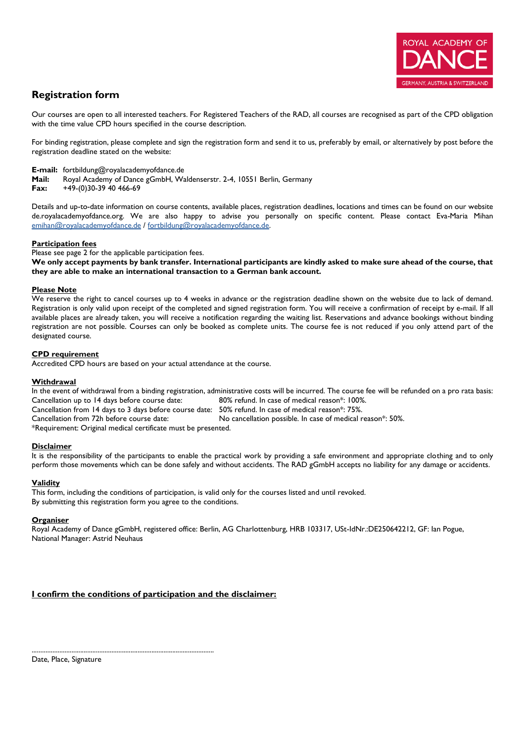

# **Registration form**

Our courses are open to all interested teachers. For Registered Teachers of the RAD, all courses are recognised as part of the CPD obligation with the time value CPD hours specified in the course description.

For binding registration, please complete and sign the registration form and send it to us, preferably by email, or alternatively by post before the registration deadline stated on the website:

**E-mail:** fortbildung@royalacademyofdance.de

**Mail:** Royal Academy of Dance gGmbH, Waldenserstr. 2-4, 10551 Berlin, Germany

**Fax:** +49-(0)30-39 40 466-69

Details and up-to-date information on course contents, available places, registration deadlines, locations and times can be found on our website de.royalacademyofdance.org. We are also happy to advise you personally on specific content. Please contact Eva-Maria Mihan [emihan@royalacademyofdance.de](mailto:emihan@royalacademyofdance.de) [/ fortbildung@royalacademyofdance.de.](mailto:fortbildung@royalacademyofdance.de)

# **Participation fees**

Please see page 2 for the applicable participation fees.

**We only accept payments by bank transfer. International participants are kindly asked to make sure ahead of the course, that they are able to make an international transaction to a German bank account.**

# **Please Note**

We reserve the right to cancel courses up to 4 weeks in advance or the registration deadline shown on the website due to lack of demand. Registration is only valid upon receipt of the completed and signed registration form. You will receive a confirmation of receipt by e-mail. If all available places are already taken, you will receive a notification regarding the waiting list. Reservations and advance bookings without binding registration are not possible. Courses can only be booked as complete units. The course fee is not reduced if you only attend part of the designated course.

# **CPD requirement**

Accredited CPD hours are based on your actual attendance at the course.

#### **Withdrawal**

In the event of withdrawal from a binding registration, administrative costs will be incurred. The course fee will be refunded on a pro rata basis: Cancellation up to 14 days before course date: 80% refund. In case of medical reason\*: 100%.

Cancellation from 14 days to 3 days before course date: 50% refund. In case of medical reason\*: 75%.

Cancellation from 72h before course date: No cancellation possible. In case of medical reason\*: 50%.

\*Requirement: Original medical certificate must be presented.

#### **Disclaimer**

It is the responsibility of the participants to enable the practical work by providing a safe environment and appropriate clothing and to only perform those movements which can be done safely and without accidents. The RAD gGmbH accepts no liability for any damage or accidents.

#### **Validity**

This form, including the conditions of participation, is valid only for the courses listed and until revoked. By submitting this registration form you agree to the conditions.

#### **Organiser**

Royal Academy of Dance gGmbH, registered office: Berlin, AG Charlottenburg, HRB 103317, USt-IdNr.:DE250642212, GF: Ian Pogue, National Manager: Astrid Neuhaus

# **I confirm the conditions of participation and the disclaimer:**

.........................................................................................................